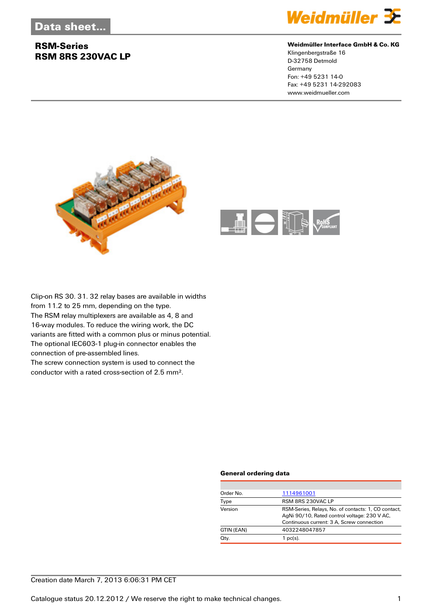## **RSM-Series RSM 8RS 230VAC LP**



#### **Weidmüller Interface GmbH & Co. KG**

Klingenbergstraße 16 D-32758 Detmold Germany Fon: +49 5231 14-0 Fax: +49 5231 14-292083 www.weidmueller.com





Clip-on RS 30. 31. 32 relay bases are available in widths from 11.2 to 25 mm, depending on the type. The RSM relay multiplexers are available as 4, 8 and 16-way modules. To reduce the wiring work, the DC variants are fitted with a common plus or minus potential. The optional IEC603-1 plug-in connector enables the connection of pre-assembled lines. The screw connection system is used to connect the

conductor with a rated cross-section of 2.5 mm².

#### **General ordering data**

| 1114961001                                                                                                                                       |
|--------------------------------------------------------------------------------------------------------------------------------------------------|
| RSM 8RS 230VAC LP                                                                                                                                |
| RSM-Series, Relays, No. of contacts: 1, CO contact,<br>AgNi 90/10, Rated control voltage: 230 V AC,<br>Continuous current: 3 A, Screw connection |
| 4032248047857                                                                                                                                    |
| $1$ pc(s).                                                                                                                                       |
|                                                                                                                                                  |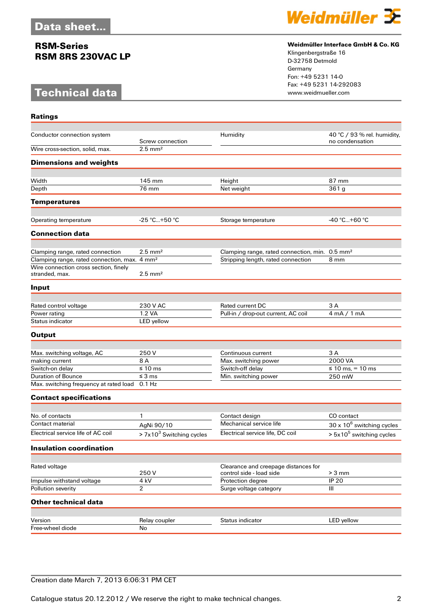### **RSM-Series RSM 8RS 230VAC LP**

# **Technical data**



### **Weidmüller Interface GmbH & Co. KG**

Klingenbergstraße 16 D-32758 Detmold Germany Fon: +49 5231 14-0 Fax: +49 5231 14-292083

| <b>Ratings</b>                                           |                            |                                                                  |                                                |
|----------------------------------------------------------|----------------------------|------------------------------------------------------------------|------------------------------------------------|
| Conductor connection system                              | Screw connection           | Humidity                                                         | 40 °C / 93 % rel. humidity,<br>no condensation |
| Wire cross-section, solid, max.                          | $2.5$ mm <sup>2</sup>      |                                                                  |                                                |
| <b>Dimensions and weights</b>                            |                            |                                                                  |                                                |
| Width                                                    | 145 mm                     | Height                                                           | 87 mm                                          |
| Depth                                                    | 76 mm                      | Net weight                                                       | 361g                                           |
| <b>Temperatures</b>                                      |                            |                                                                  |                                                |
|                                                          |                            |                                                                  |                                                |
| Operating temperature                                    | $-25$ °C+50 °C             | Storage temperature                                              | $-40 °C+60 °C$                                 |
| <b>Connection data</b>                                   |                            |                                                                  |                                                |
| Clamping range, rated connection                         | $2.5 \text{ mm}^2$         | Clamping range, rated connection, min. 0.5 mm <sup>2</sup>       |                                                |
| Clamping range, rated connection, max. 4 mm <sup>2</sup> |                            | Stripping length, rated connection                               | 8 mm                                           |
| Wire connection cross section, finely<br>stranded, max.  | $2.5$ mm <sup>2</sup>      |                                                                  |                                                |
| Input                                                    |                            |                                                                  |                                                |
|                                                          |                            |                                                                  |                                                |
| Rated control voltage                                    | 230 V AC                   | Rated current DC                                                 | 3 A                                            |
| Power rating                                             | 1.2 VA                     | Pull-in / drop-out current, AC coil                              | 4 mA / 1 mA                                    |
| Status indicator                                         | LED yellow                 |                                                                  |                                                |
| <b>Output</b>                                            |                            |                                                                  |                                                |
|                                                          |                            |                                                                  |                                                |
| Max. switching voltage, AC<br>making current             | 250 V<br>8 A               | Continuous current<br>Max. switching power                       | 3 A<br>2000 VA                                 |
| Switch-on delay                                          | $\leq 10$ ms               | Switch-off delay                                                 | ≤ 10 ms, = 10 ms                               |
| <b>Duration of Bounce</b>                                | $\leq$ 3 ms                | Min. switching power                                             | 250 mW                                         |
| Max. switching frequency at rated load                   | $0.1$ Hz                   |                                                                  |                                                |
| <b>Contact specifications</b>                            |                            |                                                                  |                                                |
|                                                          |                            |                                                                  |                                                |
| No. of contacts                                          | 1                          | Contact design                                                   | CO contact                                     |
| <b>Contact material</b>                                  | AgNi 90/10                 | Mechanical service life                                          | 30 x 10 <sup>6</sup> switching cycles          |
| Electrical service life of AC coil                       | $> 7x103$ Switching cycles | Electrical service life, DC coil                                 | $> 5x105$ switching cycles                     |
| <b>Insulation coordination</b>                           |                            |                                                                  |                                                |
|                                                          |                            |                                                                  |                                                |
| Rated voltage                                            | 250V                       | Clearance and creepage distances for<br>control side - load side | $>3$ mm                                        |
| Impulse withstand voltage                                | 4 kV                       | Protection degree                                                | <b>IP 20</b>                                   |
| Pollution severity                                       | $\overline{2}$             | Surge voltage category                                           | III                                            |
| <b>Other technical data</b>                              |                            |                                                                  |                                                |
| Version                                                  | Relay coupler              | Status indicator                                                 | LED yellow                                     |
| Free-wheel diode                                         | No                         |                                                                  |                                                |
|                                                          |                            |                                                                  |                                                |